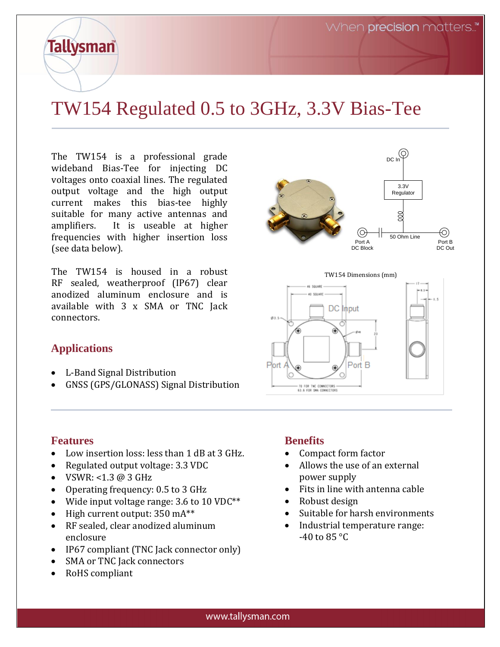## TW154 Regulated 0.5 to 3GHz, 3.3V Bias-Tee

The TW154 is a professional grade wideband Bias-Tee for injecting DC voltages onto coaxial lines. The regulated output voltage and the high output current makes this bias-tee highly suitable for many active antennas and amplifiers. It is useable at higher frequencies with higher insertion loss (see data below).

The TW154 is housed in a robust RF sealed, weatherproof (IP67) clear anodized aluminum enclosure and is available with 3 x SMA or TNC Jack connectors.

### (O) DC In 3.3V Regulator  $\infty$ Ю) 50 Ohm LinePort B<br>DC Out Port A Port B<br>DC Block DC Out

TW154 Dimensions (mm)



## **Applications**

**Tallysman** 

- L-Band Signal Distribution
- GNSS (GPS/GLONASS) Signal Distribution

### **Features**

- Low insertion loss: less than 1 dB at 3 GHz.
- Regulated output voltage: 3.3 VDC
- VSWR: <1.3  $@3$  GHz
- Operating frequency: 0.5 to 3 GHz
- Wide input voltage range: 3.6 to 10 VDC\*\*
- $\bullet$  High current output: 350 mA\*\*
- RF sealed, clear anodized aluminum enclosure
- IP67 compliant (TNC Jack connector only)
- SMA or TNC Jack connectors
- RoHS compliant

### **Benefits**

- Compact form factor
- Allows the use of an external power supply
- Fits in line with antenna cable
- Robust design
- Suitable for harsh environments
- Industrial temperature range:  $-40$  to 85 °C